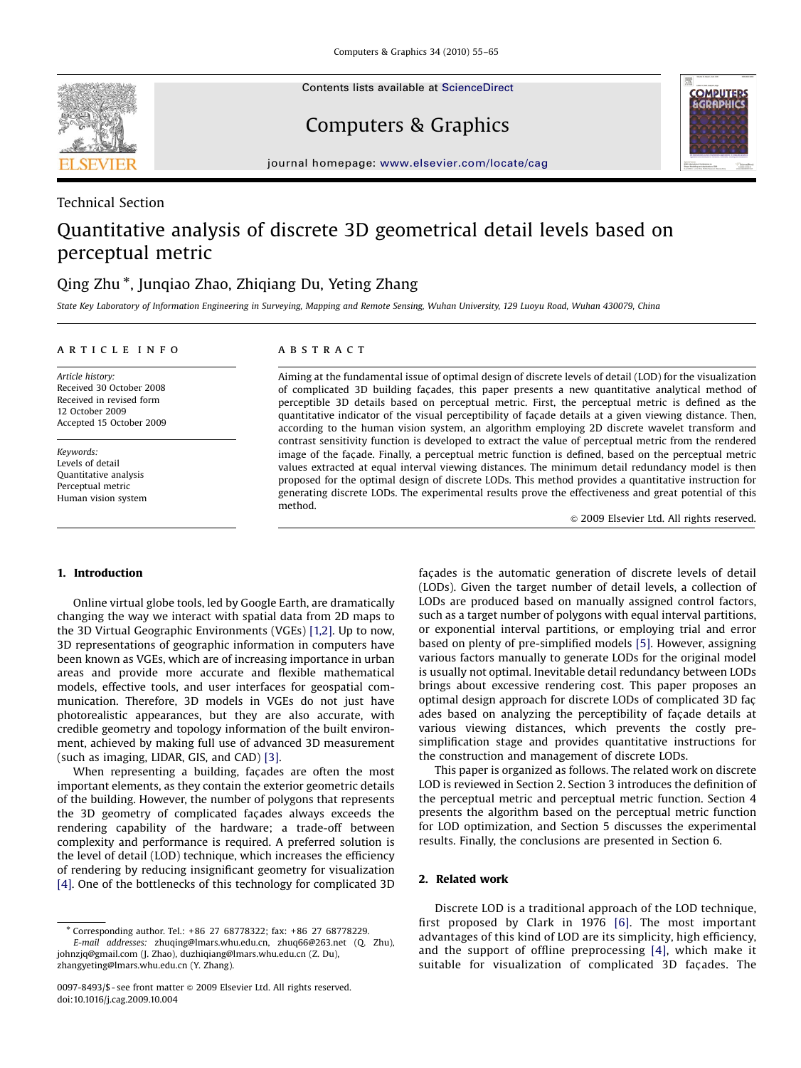Contents lists available at ScienceDirect



Technical Section

Computers & Graphics



journal homepage: <www.elsevier.com/locate/cag>

# Quantitative analysis of discrete 3D geometrical detail levels based on perceptual metric

## Qing Zhu -, Junqiao Zhao, Zhiqiang Du, Yeting Zhang

State Key Laboratory of Information Engineering in Surveying, Mapping and Remote Sensing, Wuhan University, 129 Luoyu Road, Wuhan 430079, China

#### article info

Article history: Received 30 October 2008 Received in revised form 12 October 2009 Accepted 15 October 2009

Keywords: Levels of detail Quantitative analysis Perceptual metric Human vision system

## ABSTRACT

Aiming at the fundamental issue of optimal design of discrete levels of detail (LOD) for the visualization of complicated 3D building fac-ades, this paper presents a new quantitative analytical method of perceptible 3D details based on perceptual metric. First, the perceptual metric is defined as the quantitative indicator of the visual perceptibility of façade details at a given viewing distance. Then, according to the human vision system, an algorithm employing 2D discrete wavelet transform and contrast sensitivity function is developed to extract the value of perceptual metric from the rendered image of the façade. Finally, a perceptual metric function is defined, based on the perceptual metric values extracted at equal interval viewing distances. The minimum detail redundancy model is then proposed for the optimal design of discrete LODs. This method provides a quantitative instruction for generating discrete LODs. The experimental results prove the effectiveness and great potential of this method.

 $\odot$  2009 Elsevier Ltd. All rights reserved.

#### 1. Introduction

Online virtual globe tools, led by Google Earth, are dramatically changing the way we interact with spatial data from 2D maps to the 3D Virtual Geographic Environments (VGEs) [\[1,2\]](#page-10-0). Up to now, 3D representations of geographic information in computers have been known as VGEs, which are of increasing importance in urban areas and provide more accurate and flexible mathematical models, effective tools, and user interfaces for geospatial communication. Therefore, 3D models in VGEs do not just have photorealistic appearances, but they are also accurate, with credible geometry and topology information of the built environment, achieved by making full use of advanced 3D measurement (such as imaging, LIDAR, GIS, and CAD) [\[3\]](#page-10-0).

When representing a building, façades are often the most important elements, as they contain the exterior geometric details of the building. However, the number of polygons that represents the 3D geometry of complicated façades always exceeds the rendering capability of the hardware; a trade-off between complexity and performance is required. A preferred solution is the level of detail (LOD) technique, which increases the efficiency of rendering by reducing insignificant geometry for visualization [\[4\]](#page-10-0). One of the bottlenecks of this technology for complicated 3D

facades is the automatic generation of discrete levels of detail (LODs). Given the target number of detail levels, a collection of LODs are produced based on manually assigned control factors, such as a target number of polygons with equal interval partitions, or exponential interval partitions, or employing trial and error based on plenty of pre-simplified models [\[5\].](#page-10-0) However, assigning various factors manually to generate LODs for the original model is usually not optimal. Inevitable detail redundancy between LODs brings about excessive rendering cost. This paper proposes an optimal design approach for discrete LODs of complicated 3D facades based on analyzing the perceptibility of façade details at various viewing distances, which prevents the costly presimplification stage and provides quantitative instructions for the construction and management of discrete LODs.

This paper is organized as follows. The related work on discrete LOD is reviewed in Section 2. Section 3 introduces the definition of the perceptual metric and perceptual metric function. Section 4 presents the algorithm based on the perceptual metric function for LOD optimization, and Section 5 discusses the experimental results. Finally, the conclusions are presented in Section 6.

#### 2. Related work

Discrete LOD is a traditional approach of the LOD technique, first proposed by Clark in 1976 [\[6\]](#page-10-0). The most important advantages of this kind of LOD are its simplicity, high efficiency, and the support of offline preprocessing [\[4\],](#page-10-0) which make it suitable for visualization of complicated 3D façades. The

<sup>-</sup> Corresponding author. Tel.: +86 27 68778322; fax: +86 27 68778229. E-mail addresses: [zhuqing@lmars.whu.edu.cn](mailto:zhuqing@lmars.whu.edu.cn<!--ti-->), [zhuq66@263.net \(Q. Zhu\)](mailto:zhuq66@263.net<!--/ti-->.3d), [johnzjq@gmail.com \(J. Zhao\)](mailto:johnzjq@gmail.com), [duzhiqiang@lmars.whu.edu.cn \(Z. Du\)](mailto:duzhiqiang@lmars.whu.edu.cn), [zhangyeting@lmars.whu.edu.cn \(Y. Zhang\).](mailto:zhangyeting@lmars.whu.edu.cn)

<sup>0097-8493/\$ -</sup> see front matter @ 2009 Elsevier Ltd. All rights reserved. doi:[10.1016/j.cag.2009.10.004](dx.doi.org/10.1016/j.cag.2009.10.004)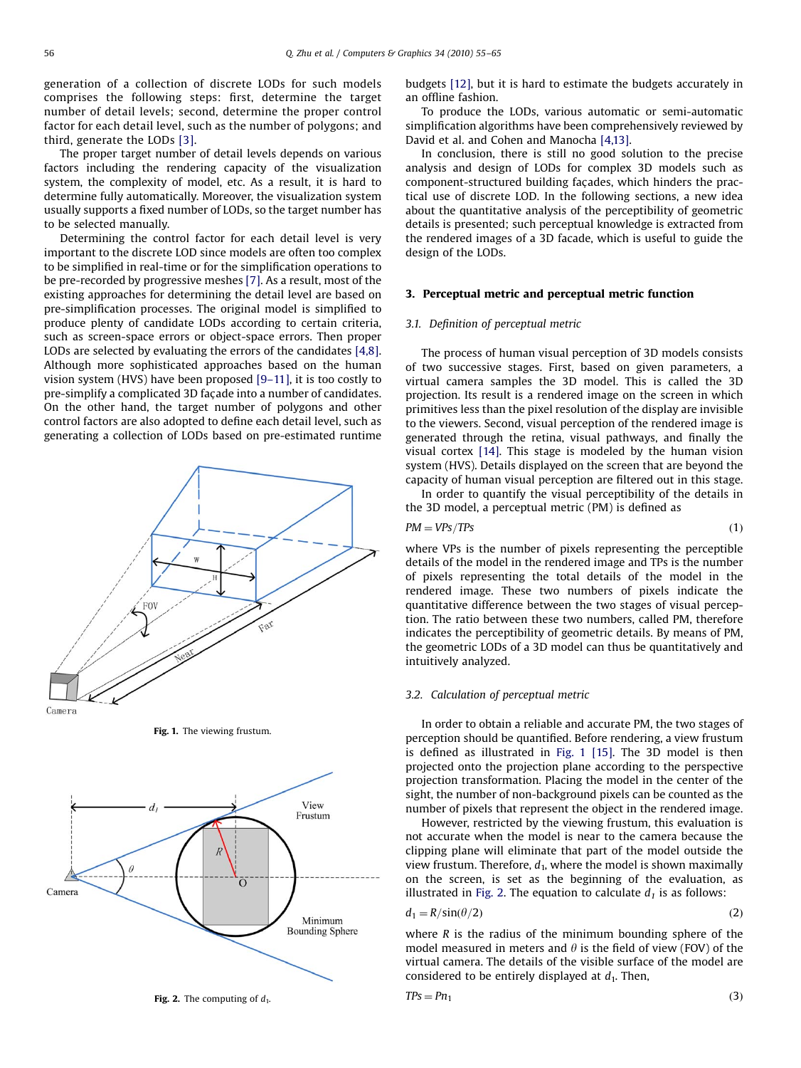generation of a collection of discrete LODs for such models comprises the following steps: first, determine the target number of detail levels; second, determine the proper control factor for each detail level, such as the number of polygons; and third, generate the LODs [\[3\]](#page-10-0).

The proper target number of detail levels depends on various factors including the rendering capacity of the visualization system, the complexity of model, etc. As a result, it is hard to determine fully automatically. Moreover, the visualization system usually supports a fixed number of LODs, so the target number has to be selected manually.

Determining the control factor for each detail level is very important to the discrete LOD since models are often too complex to be simplified in real-time or for the simplification operations to be pre-recorded by progressive meshes [\[7\].](#page-10-0) As a result, most of the existing approaches for determining the detail level are based on pre-simplification processes. The original model is simplified to produce plenty of candidate LODs according to certain criteria, such as screen-space errors or object-space errors. Then proper LODs are selected by evaluating the errors of the candidates [\[4,8\].](#page-10-0) Although more sophisticated approaches based on the human vision system (HVS) have been proposed [\[9–11\]](#page-10-0), it is too costly to pre-simplify a complicated 3D façade into a number of candidates. On the other hand, the target number of polygons and other control factors are also adopted to define each detail level, such as generating a collection of LODs based on pre-estimated runtime



Fig. 1. The viewing frustum.



budgets [\[12\]](#page-10-0), but it is hard to estimate the budgets accurately in an offline fashion.

To produce the LODs, various automatic or semi-automatic simplification algorithms have been comprehensively reviewed by David et al. and Cohen and Manocha [\[4,13\].](#page-10-0)

In conclusion, there is still no good solution to the precise analysis and design of LODs for complex 3D models such as component-structured building façades, which hinders the practical use of discrete LOD. In the following sections, a new idea about the quantitative analysis of the perceptibility of geometric details is presented; such perceptual knowledge is extracted from the rendered images of a 3D facade, which is useful to guide the design of the LODs.

#### 3. Perceptual metric and perceptual metric function

#### 3.1. Definition of perceptual metric

The process of human visual perception of 3D models consists of two successive stages. First, based on given parameters, a virtual camera samples the 3D model. This is called the 3D projection. Its result is a rendered image on the screen in which primitives less than the pixel resolution of the display are invisible to the viewers. Second, visual perception of the rendered image is generated through the retina, visual pathways, and finally the visual cortex [\[14\]](#page-10-0). This stage is modeled by the human vision system (HVS). Details displayed on the screen that are beyond the capacity of human visual perception are filtered out in this stage.

In order to quantify the visual perceptibility of the details in the 3D model, a perceptual metric (PM) is defined as

$$
PM = VPs / TPs \tag{1}
$$

where VPs is the number of pixels representing the perceptible details of the model in the rendered image and TPs is the number of pixels representing the total details of the model in the rendered image. These two numbers of pixels indicate the quantitative difference between the two stages of visual perception. The ratio between these two numbers, called PM, therefore indicates the perceptibility of geometric details. By means of PM, the geometric LODs of a 3D model can thus be quantitatively and intuitively analyzed.

#### 3.2. Calculation of perceptual metric

In order to obtain a reliable and accurate PM, the two stages of perception should be quantified. Before rendering, a view frustum is defined as illustrated in Fig. 1 [\[15\].](#page-10-0) The 3D model is then projected onto the projection plane according to the perspective projection transformation. Placing the model in the center of the sight, the number of non-background pixels can be counted as the number of pixels that represent the object in the rendered image.

However, restricted by the viewing frustum, this evaluation is not accurate when the model is near to the camera because the clipping plane will eliminate that part of the model outside the view frustum. Therefore,  $d_1$ , where the model is shown maximally on the screen, is set as the beginning of the evaluation, as illustrated in Fig. 2. The equation to calculate  $d_1$  is as follows:

$$
d_1 = R/\sin(\theta/2) \tag{2}
$$

where  *is the radius of the minimum bounding sphere of the* model measured in meters and  $\theta$  is the field of view (FOV) of the virtual camera. The details of the visible surface of the model are considered to be entirely displayed at  $d_1$ . Then,

$$
TPs = Pn_1 \tag{3}
$$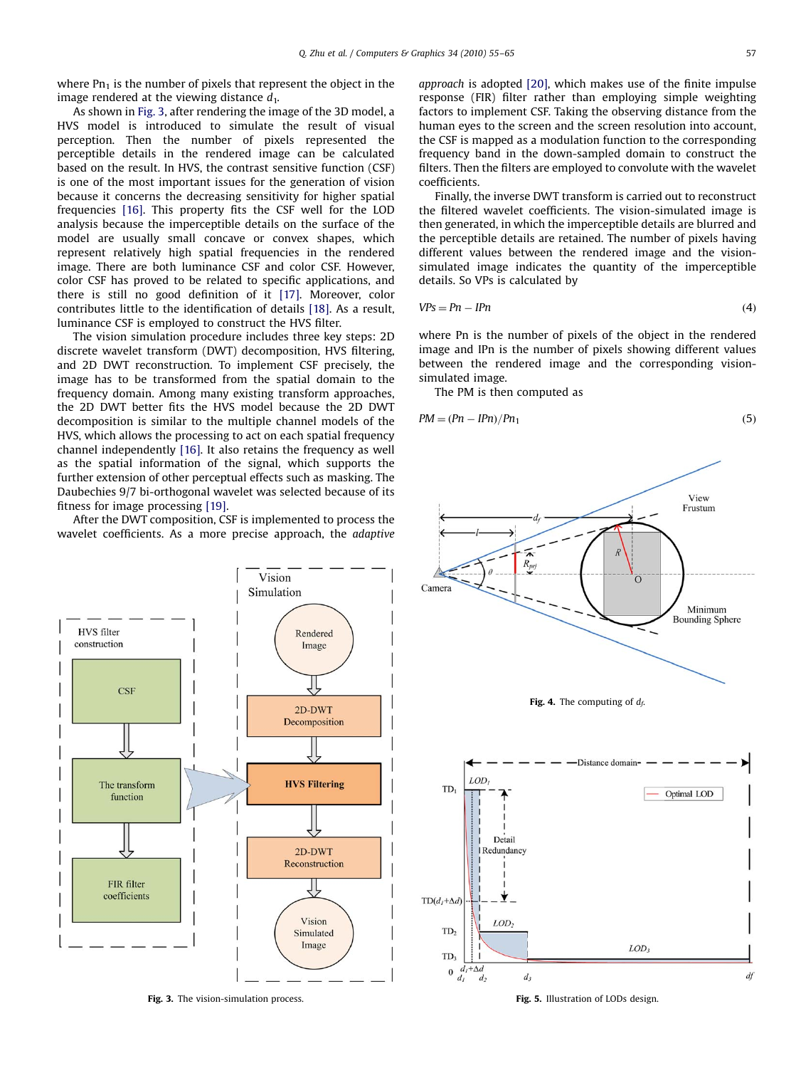<span id="page-2-0"></span>where  $Pn_1$  is the number of pixels that represent the object in the image rendered at the viewing distance  $d_1$ .

As shown in Fig. 3, after rendering the image of the 3D model, a HVS model is introduced to simulate the result of visual perception. Then the number of pixels represented the perceptible details in the rendered image can be calculated based on the result. In HVS, the contrast sensitive function (CSF) is one of the most important issues for the generation of vision because it concerns the decreasing sensitivity for higher spatial frequencies [\[16\]](#page-10-0). This property fits the CSF well for the LOD analysis because the imperceptible details on the surface of the model are usually small concave or convex shapes, which represent relatively high spatial frequencies in the rendered image. There are both luminance CSF and color CSF. However, color CSF has proved to be related to specific applications, and there is still no good definition of it [\[17\].](#page-10-0) Moreover, color contributes little to the identification of details [\[18\].](#page-10-0) As a result, luminance CSF is employed to construct the HVS filter.

The vision simulation procedure includes three key steps: 2D discrete wavelet transform (DWT) decomposition, HVS filtering, and 2D DWT reconstruction. To implement CSF precisely, the image has to be transformed from the spatial domain to the frequency domain. Among many existing transform approaches, the 2D DWT better fits the HVS model because the 2D DWT decomposition is similar to the multiple channel models of the HVS, which allows the processing to act on each spatial frequency channel independently [\[16\]](#page-10-0). It also retains the frequency as well as the spatial information of the signal, which supports the further extension of other perceptual effects such as masking. The Daubechies 9/7 bi-orthogonal wavelet was selected because of its fitness for image processing [\[19\]](#page-10-0).

After the DWT composition, CSF is implemented to process the wavelet coefficients. As a more precise approach, the adaptive



Fig. 3. The vision-simulation process. The vision-simulation process. The state of LODs design.

approach is adopted [\[20\]](#page-10-0), which makes use of the finite impulse response (FIR) filter rather than employing simple weighting factors to implement CSF. Taking the observing distance from the human eyes to the screen and the screen resolution into account, the CSF is mapped as a modulation function to the corresponding frequency band in the down-sampled domain to construct the filters. Then the filters are employed to convolute with the wavelet coefficients.

Finally, the inverse DWT transform is carried out to reconstruct the filtered wavelet coefficients. The vision-simulated image is then generated, in which the imperceptible details are blurred and the perceptible details are retained. The number of pixels having different values between the rendered image and the visionsimulated image indicates the quantity of the imperceptible details. So VPs is calculated by

$$
VPs = Pn - IPn \tag{4}
$$

where Pn is the number of pixels of the object in the rendered image and IPn is the number of pixels showing different values between the rendered image and the corresponding visionsimulated image.

The PM is then computed as

$$
PM = (Pn - IPn)/Pn_1 \tag{5}
$$



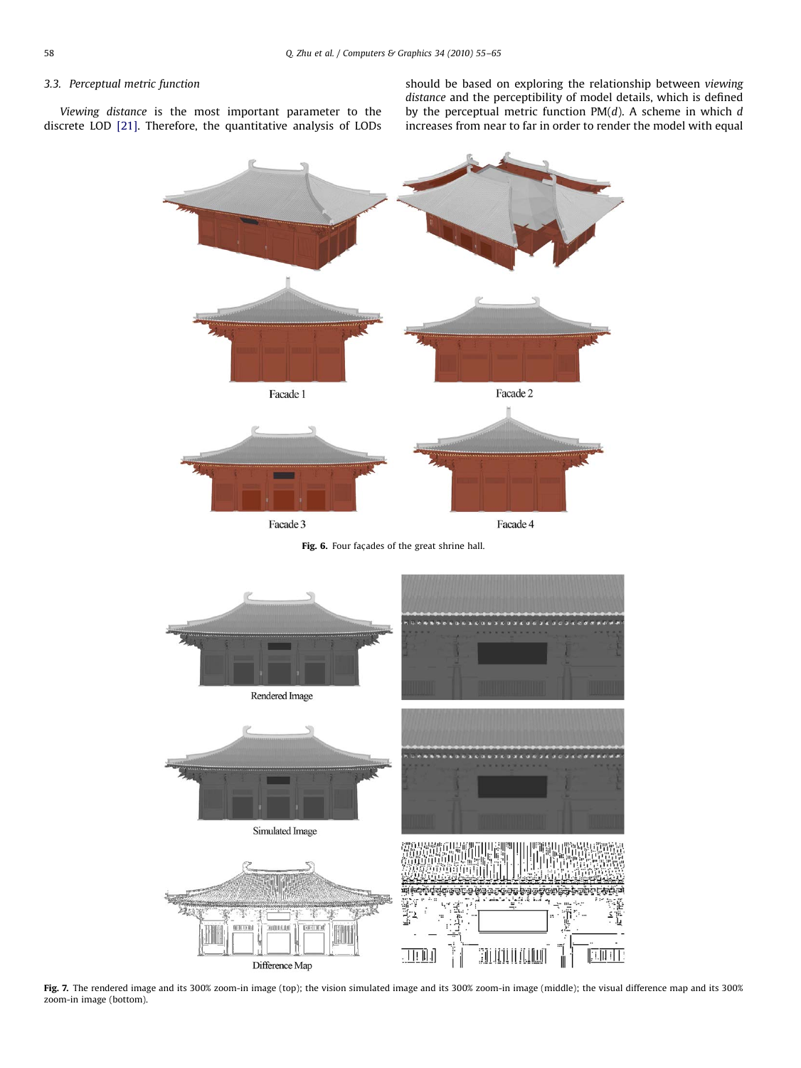### <span id="page-3-0"></span>3.3. Perceptual metric function

Viewing distance is the most important parameter to the discrete LOD [\[21\]](#page-10-0). Therefore, the quantitative analysis of LODs should be based on exploring the relationship between viewing distance and the perceptibility of model details, which is defined by the perceptual metric function  $PM(d)$ . A scheme in which  $d$ increases from near to far in order to render the model with equal



Fig. 6. Four façades of the great shrine hall.



Fig. 7. The rendered image and its 300% zoom-in image (top); the vision simulated image and its 300% zoom-in image (middle); the visual difference map and its 300% zoom-in image (bottom).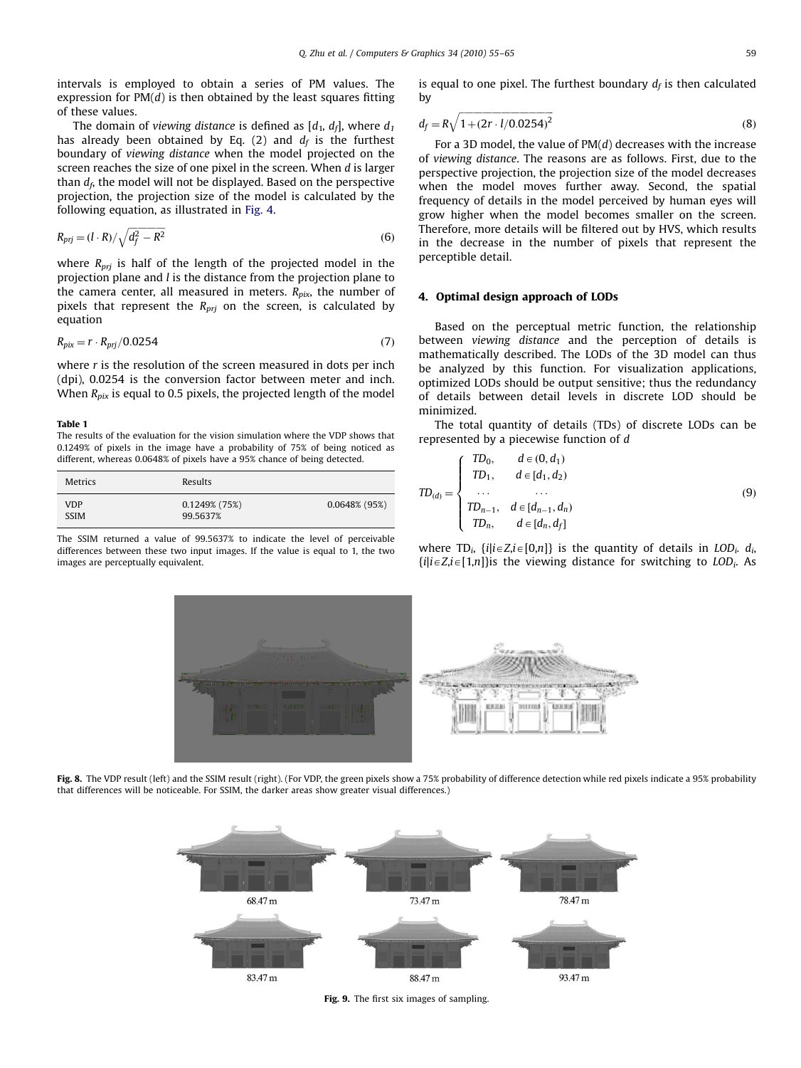<span id="page-4-0"></span>intervals is employed to obtain a series of PM values. The expression for  $PM(d)$  is then obtained by the least squares fitting of these values.

The domain of viewing distance is defined as  $[d_1, d_f]$ , where  $d_1$ has already been obtained by Eq. (2) and  $d_f$  is the furthest boundary of viewing distance when the model projected on the screen reaches the size of one pixel in the screen. When d is larger than  $d_f$ , the model will not be displayed. Based on the perspective projection, the projection size of the model is calculated by the following equation, as illustrated in [Fig. 4](#page-2-0).

$$
R_{\rm pri} = (l \cdot R) / \sqrt{d_f^2 - R^2} \tag{6}
$$

where  $R_{pri}$  is half of the length of the projected model in the projection plane and l is the distance from the projection plane to the camera center, all measured in meters.  $R_{pix}$ , the number of pixels that represent the  $R_{pri}$  on the screen, is calculated by equation

$$
R_{pix} = r \cdot R_{pri}/0.0254\tag{7}
$$

where  $r$  is the resolution of the screen measured in dots per inch (dpi), 0.0254 is the conversion factor between meter and inch. When  $R_{pix}$  is equal to 0.5 pixels, the projected length of the model

#### Table 1

The results of the evaluation for the vision simulation where the VDP shows that 0.1249% of pixels in the image have a probability of 75% of being noticed as different, whereas 0.0648% of pixels have a 95% chance of being detected.

| Metrics                   | Results                      |                  |
|---------------------------|------------------------------|------------------|
| <b>VDP</b><br><b>SSIM</b> | $0.1249\%$ (75%)<br>99.5637% | $0.0648\%$ (95%) |

The SSIM returned a value of 99.5637% to indicate the level of perceivable differences between these two input images. If the value is equal to 1, the two images are perceptually equivalent.

is equal to one pixel. The furthest boundary  $d_f$  is then calculated by

$$
d_f = R\sqrt{1 + (2r \cdot l/0.0254)^2}
$$
 (8)

For a 3D model, the value of  $PM(d)$  decreases with the increase of viewing distance. The reasons are as follows. First, due to the perspective projection, the projection size of the model decreases when the model moves further away. Second, the spatial frequency of details in the model perceived by human eyes will grow higher when the model becomes smaller on the screen. Therefore, more details will be filtered out by HVS, which results in the decrease in the number of pixels that represent the perceptible detail.

#### 4. Optimal design approach of LODs

Based on the perceptual metric function, the relationship between viewing distance and the perception of details is mathematically described. The LODs of the 3D model can thus be analyzed by this function. For visualization applications, optimized LODs should be output sensitive; thus the redundancy of details between detail levels in discrete LOD should be minimized.

The total quantity of details (TDs) of discrete LODs can be represented by a piecewise function of d

$$
TD_{(d)} = \begin{cases} TD_0, & d \in (0, d_1) \\ TD_1, & d \in [d_1, d_2) \\ \dots & \dots \\ TD_{n-1}, & d \in [d_{n-1}, d_n) \\ TD_n, & d \in [d_n, d_f] \end{cases}
$$
(9)

where TD<sub>i</sub>,  $\{i|i \in Z, i \in [0,n]\}$  is the quantity of details in LOD<sub>i</sub>,  $d_i$ ,  $\{i|i\in Z, i\in[1,n]\}$ is the viewing distance for switching to LOD<sub>i</sub>. As



Fig. 8. The VDP result (left) and the SSIM result (right). (For VDP, the green pixels show a 75% probability of difference detection while red pixels indicate a 95% probability that differences will be noticeable. For SSIM, the darker areas show greater visual differences.)



Fig. 9. The first six images of sampling.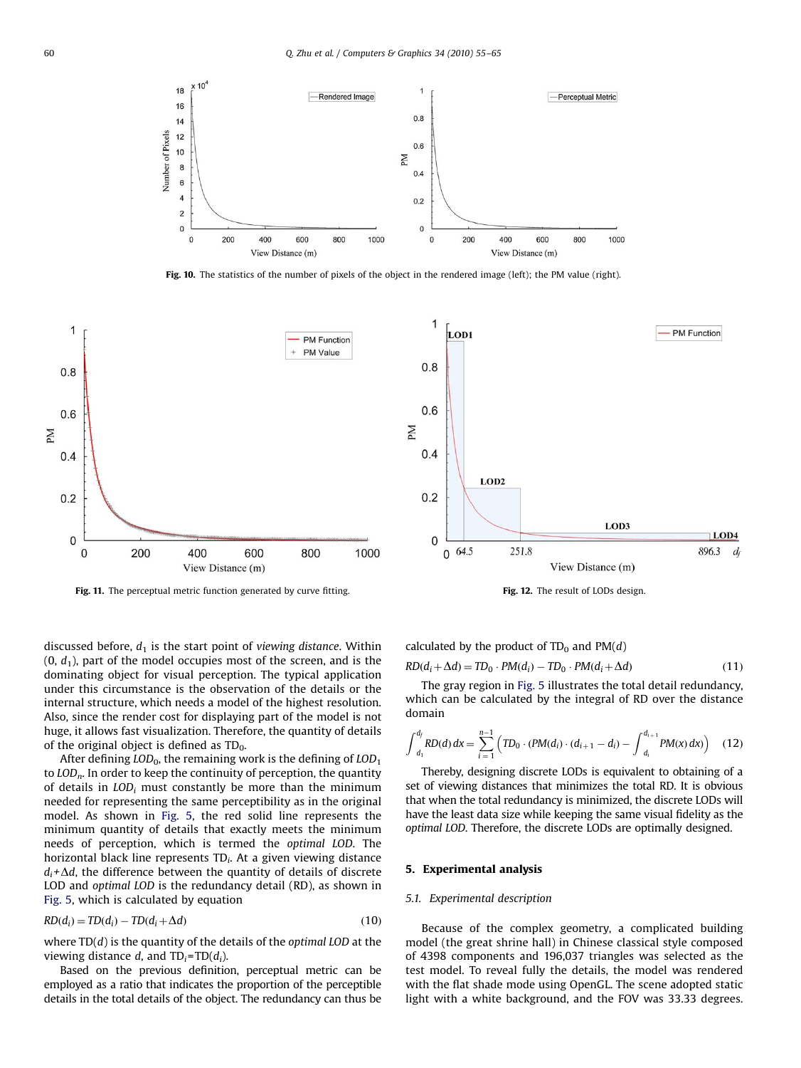<span id="page-5-0"></span>

Fig. 10. The statistics of the number of pixels of the object in the rendered image (left); the PM value (right).



Fig. 11. The perceptual metric function generated by curve fitting. Fig. 12. The result of LODs design.



The gray region in [Fig. 5](#page-2-0) illustrates the total detail redundancy, which can be calculated by the integral of RD over the distance domain

$$
\int_{d_1}^{d_f} RD(d) dx = \sum_{i=1}^{n-1} \left( TD_0 \cdot (PM(d_i) \cdot (d_{i+1} - d_i) - \int_{d_i}^{d_{i+1}} PM(x) dx) \right) \quad (12)
$$

Thereby, designing discrete LODs is equivalent to obtaining of a set of viewing distances that minimizes the total RD. It is obvious that when the total redundancy is minimized, the discrete LODs will have the least data size while keeping the same visual fidelity as the optimal LOD. Therefore, the discrete LODs are optimally designed.

#### 5. Experimental analysis

#### 5.1. Experimental description

Because of the complex geometry, a complicated building model (the great shrine hall) in Chinese classical style composed of 4398 components and 196,037 triangles was selected as the test model. To reveal fully the details, the model was rendered with the flat shade mode using OpenGL. The scene adopted static light with a white background, and the FOV was 33.33 degrees.

discussed before,  $d_1$  is the start point of viewing distance. Within  $(0, d_1)$ , part of the model occupies most of the screen, and is the dominating object for visual perception. The typical application under this circumstance is the observation of the details or the internal structure, which needs a model of the highest resolution. Also, since the render cost for displaying part of the model is not huge, it allows fast visualization. Therefore, the quantity of details of the original object is defined as  $TD_0$ .

After defining  $LOD_0$ , the remaining work is the defining of  $LOD_1$ to  $LOD_n$ . In order to keep the continuity of perception, the quantity of details in  $LOD_i$  must constantly be more than the minimum needed for representing the same perceptibility as in the original model. As shown in [Fig. 5,](#page-2-0) the red solid line represents the minimum quantity of details that exactly meets the minimum needs of perception, which is termed the optimal LOD. The horizontal black line represents  $TD_i$ . At a given viewing distance  $d_i + \Delta d$ , the difference between the quantity of details of discrete LOD and optimal LOD is the redundancy detail (RD), as shown in [Fig. 5](#page-2-0), which is calculated by equation

$$
RD(d_i) = TD(d_i) - TD(d_i + \Delta d)
$$
\n(10)

where  $TD(d)$  is the quantity of the details of the *optimal LOD* at the viewing distance d, and  $TD_i = TD(d_i)$ .

Based on the previous definition, perceptual metric can be employed as a ratio that indicates the proportion of the perceptible details in the total details of the object. The redundancy can thus be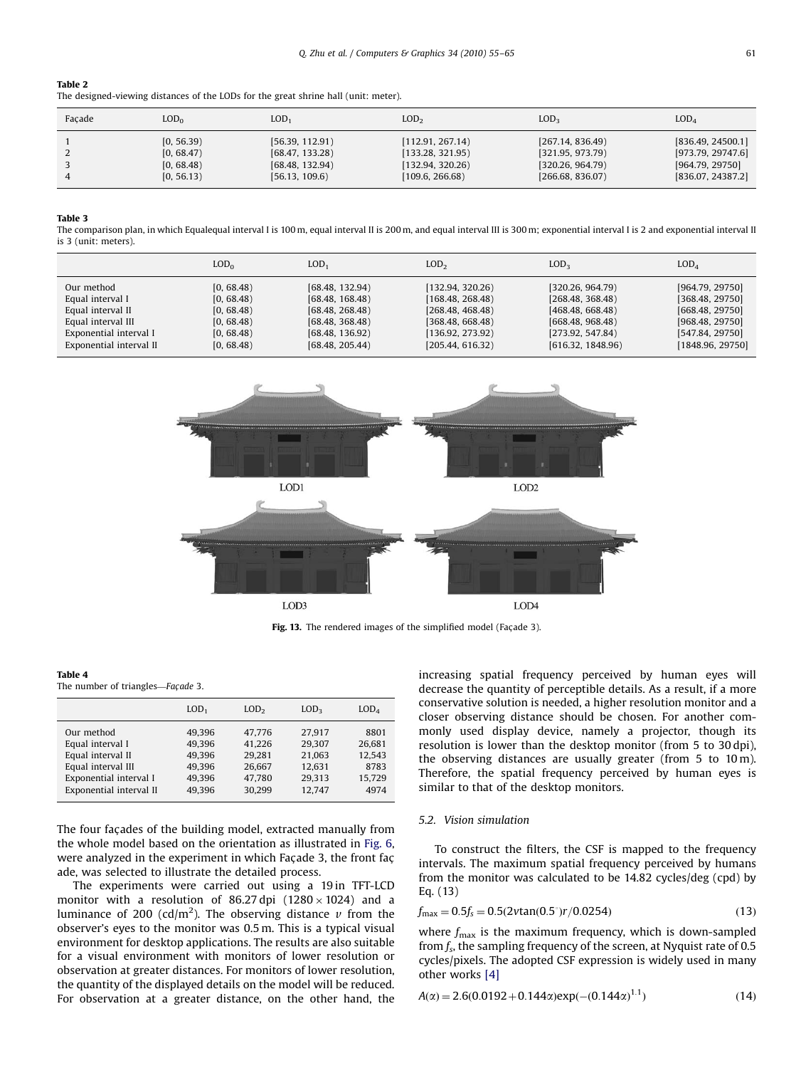#### <span id="page-6-0"></span>Table 2

The designed-viewing distances of the LODs for the great shrine hall (unit: meter).

| Facade | $\text{LOD}_{0}$ | LOD <sub>1</sub> | LOD <sub>2</sub> | LOD <sub>3</sub> | LOD <sub>4</sub>  |
|--------|------------------|------------------|------------------|------------------|-------------------|
|        | [0, 56.39)       | [56.39, 112.91]  | [112.91, 267.14] | [267.14, 836.49] | [836.49, 24500.1] |
|        | [0, 68.47)       | [68.47, 133.28]  | [133.28, 321.95] | [321.95, 973.79] | [973.79, 29747.6] |
|        | [0, 68.48)       | [68.48, 132.94]  | [132.94, 320.26] | [320.26, 964.79] | [964.79, 29750]   |
|        | [0, 56.13)       | [56.13, 109.6]   | [109.6, 266.68]  | [266.68, 836.07] | [836.07, 24387.2] |

Table 3

The comparison plan, in which Equalequal interval I is 100 m, equal interval II is 300 m, and equal interval III is 300 m; exponential interval II is 2 and exponential interval II is 3 (unit: meters).

|                         | LOD <sub>0</sub> | LOD <sub>1</sub> | LOD <sub>2</sub> | LOD <sub>3</sub>  | LOD <sub>4</sub> |
|-------------------------|------------------|------------------|------------------|-------------------|------------------|
| Our method              | [0, 68.48)       | [68.48, 132.94]  | [132.94, 320.26] | [320.26, 964.79]  | [964.79, 29750]  |
| Equal interval I        | [0, 68.48)       | [68.48, 168.48]  | [168.48, 268.48] | [268.48, 368.48]  | [368.48, 29750]  |
| Equal interval II       | [0, 68.48)       | [68.48, 268.48]  | [268.48, 468.48] | [468.48, 668.48]  | [668.48, 29750]  |
| Equal interval III      | [0, 68.48)       | [68.48, 368.48]  | [368.48, 668.48] | (668.48, 968.48)  | [968.48, 29750]  |
| Exponential interval I  | [0, 68.48)       | [68.48, 136.92]  | [136.92, 273.92] | [273.92, 547.84]  | [547.84, 29750]  |
| Exponential interval II | [0, 68.48)       | [68.48, 205.44]  | [205.44, 616.32] | [616.32, 1848.96] | [1848.96, 29750] |



Fig. 13. The rendered images of the simplified model (Facade 3).

#### Table 4

The number of triangles-Façade 3.

|                         | LOD <sub>1</sub> | LOD <sub>2</sub> | LOD <sub>3</sub> | LOD <sub>4</sub> |
|-------------------------|------------------|------------------|------------------|------------------|
| Our method              | 49.396           | 47.776           | 27.917           | 8801             |
| Equal interval I        | 49.396           | 41.226           | 29.307           | 26,681           |
| Equal interval II       | 49.396           | 29.281           | 21.063           | 12.543           |
| Equal interval III      | 49.396           | 26,667           | 12.631           | 8783             |
| Exponential interval I  | 49,396           | 47,780           | 29.313           | 15,729           |
| Exponential interval II | 49.396           | 30.299           | 12.747           | 4974             |

The four facades of the building model, extracted manually from the whole model based on the orientation as illustrated in [Fig. 6,](#page-3-0) were analyzed in the experiment in which Facade 3, the front facade, was selected to illustrate the detailed process.

The experiments were carried out using a 19 in TFT-LCD monitor with a resolution of 86.27 dpi (1280  $\times$  1024) and a luminance of 200 (cd/m<sup>2</sup>). The observing distance  $\nu$  from the observer's eyes to the monitor was 0.5 m. This is a typical visual environment for desktop applications. The results are also suitable for a visual environment with monitors of lower resolution or observation at greater distances. For monitors of lower resolution, the quantity of the displayed details on the model will be reduced. For observation at a greater distance, on the other hand, the increasing spatial frequency perceived by human eyes will decrease the quantity of perceptible details. As a result, if a more conservative solution is needed, a higher resolution monitor and a closer observing distance should be chosen. For another commonly used display device, namely a projector, though its resolution is lower than the desktop monitor (from 5 to 30 dpi), the observing distances are usually greater (from 5 to 10 m). Therefore, the spatial frequency perceived by human eyes is similar to that of the desktop monitors.

#### 5.2. Vision simulation

To construct the filters, the CSF is mapped to the frequency intervals. The maximum spatial frequency perceived by humans from the monitor was calculated to be 14.82 cycles/deg (cpd) by Eq. (13)

$$
f_{\text{max}} = 0.5f_s = 0.5(2v \tan(0.5^\circ) r / 0.0254)
$$
\n(13)

where  $f_{\text{max}}$  is the maximum frequency, which is down-sampled from  $f_s$ , the sampling frequency of the screen, at Nyquist rate of 0.5 cycles/pixels. The adopted CSF expression is widely used in many other works [\[4\]](#page-10-0)

$$
A(\alpha) = 2.6(0.0192 + 0.144\alpha) \exp(-(0.144\alpha)^{1.1})
$$
\n(14)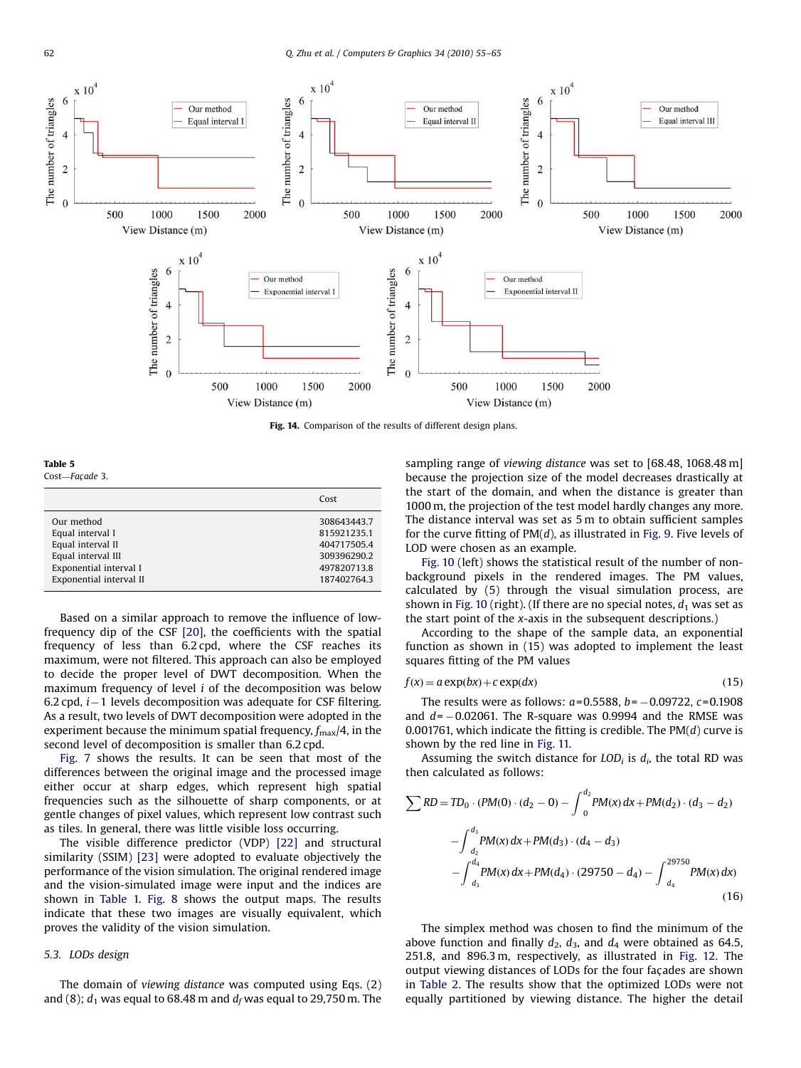<span id="page-7-0"></span>

Fig. 14. Comparison of the results of different design plans.

Table 5 Cost-Façade 3.

|                         | Cost        |
|-------------------------|-------------|
| Our method              | 308643443.7 |
| Equal interval I        | 815921235.1 |
| Equal interval II       | 404717505.4 |
| Equal interval III      | 309396290.2 |
| Exponential interval I  | 497820713.8 |
| Exponential interval II | 187402764.3 |

Based on a similar approach to remove the influence of lowfrequency dip of the CSF [\[20\]](#page-10-0), the coefficients with the spatial frequency of less than 6.2 cpd, where the CSF reaches its maximum, were not filtered. This approach can also be employed to decide the proper level of DWT decomposition. When the maximum frequency of level i of the decomposition was below 6.2 cpd,  $i-1$  levels decomposition was adequate for CSF filtering. As a result, two levels of DWT decomposition were adopted in the experiment because the minimum spatial frequency,  $f_{\text{max}}/4$ , in the second level of decomposition is smaller than 6.2 cpd.

[Fig. 7](#page-3-0) shows the results. It can be seen that most of the differences between the original image and the processed image either occur at sharp edges, which represent high spatial frequencies such as the silhouette of sharp components, or at gentle changes of pixel values, which represent low contrast such as tiles. In general, there was little visible loss occurring.

The visible difference predictor (VDP) [\[22\]](#page-10-0) and structural similarity (SSIM) [\[23\]](#page-10-0) were adopted to evaluate objectively the performance of the vision simulation. The original rendered image and the vision-simulated image were input and the indices are shown in [Table 1.](#page-4-0) [Fig. 8](#page-4-0) shows the output maps. The results indicate that these two images are visually equivalent, which proves the validity of the vision simulation.

#### 5.3. LODs design

The domain of viewing distance was computed using Eqs. (2) and (8);  $d_1$  was equal to 68.48 m and  $d_f$  was equal to 29,750 m. The sampling range of viewing distance was set to [68.48, 1068.48 m] because the projection size of the model decreases drastically at the start of the domain, and when the distance is greater than 1000 m, the projection of the test model hardly changes any more. The distance interval was set as 5 m to obtain sufficient samples for the curve fitting of  $PM(d)$ , as illustrated in [Fig. 9.](#page-4-0) Five levels of LOD were chosen as an example.

[Fig. 10](#page-5-0) (left) shows the statistical result of the number of nonbackground pixels in the rendered images. The PM values, calculated by (5) through the visual simulation process, are shown in [Fig. 10](#page-5-0) (right). (If there are no special notes,  $d_1$  was set as the start point of the x-axis in the subsequent descriptions.)

According to the shape of the sample data, an exponential function as shown in (15) was adopted to implement the least squares fitting of the PM values

$$
f(x) = a \exp(bx) + c \exp(dx)
$$
 (15)

The results were as follows:  $a = 0.5588$ ,  $b = -0.09722$ ,  $c = 0.1908$ and  $d = -0.02061$ . The R-square was 0.9994 and the RMSE was 0.001761, which indicate the fitting is credible. The  $PM(d)$  curve is shown by the red line in [Fig. 11.](#page-5-0)

Assuming the switch distance for  $LOD<sub>i</sub>$  is  $d<sub>i</sub>$ , the total RD was then calculated as follows:

$$
\sum RD = TD_0 \cdot (PM(0) \cdot (d_2 - 0) - \int_0^{d_2} PM(x) dx + PM(d_2) \cdot (d_3 - d_2)
$$
  
- 
$$
\int_{d_2}^{d_3} PM(x) dx + PM(d_3) \cdot (d_4 - d_3)
$$
  
- 
$$
\int_{d_3}^{d_4} PM(x) dx + PM(d_4) \cdot (29750 - d_4) - \int_{d_4}^{29750} PM(x) dx
$$
 (16)

The simplex method was chosen to find the minimum of the above function and finally  $d_2$ ,  $d_3$ , and  $d_4$  were obtained as 64.5, 251.8, and 896.3 m, respectively, as illustrated in [Fig. 12](#page-5-0). The output viewing distances of LODs for the four façades are shown in [Table 2](#page-6-0). The results show that the optimized LODs were not equally partitioned by viewing distance. The higher the detail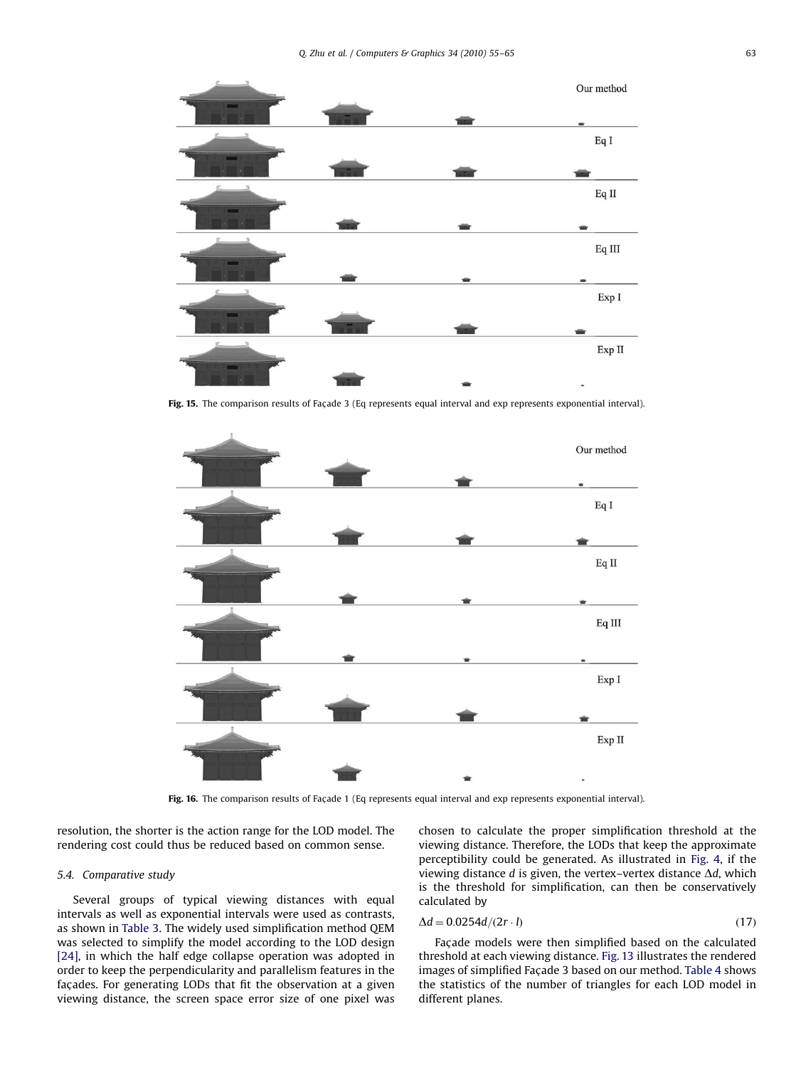<span id="page-8-0"></span>

Fig. 15. The comparison results of Façade 3 (Eq represents equal interval and exp represents exponential interval).



Fig. 16. The comparison results of Façade 1 (Eq represents equal interval and exp represents exponential interval).

resolution, the shorter is the action range for the LOD model. The rendering cost could thus be reduced based on common sense.

#### 5.4. Comparative study

Several groups of typical viewing distances with equal intervals as well as exponential intervals were used as contrasts, as shown in [Table 3](#page-6-0). The widely used simplification method QEM was selected to simplify the model according to the LOD design [\[24\]](#page-10-0), in which the half edge collapse operation was adopted in order to keep the perpendicularity and parallelism features in the façades. For generating LODs that fit the observation at a given viewing distance, the screen space error size of one pixel was chosen to calculate the proper simplification threshold at the viewing distance. Therefore, the LODs that keep the approximate perceptibility could be generated. As illustrated in [Fig. 4,](#page-2-0) if the viewing distance  $d$  is given, the vertex–vertex distance  $\Delta d$ , which is the threshold for simplification, can then be conservatively calculated by

$$
\Delta d = 0.0254d/(2r \cdot l) \tag{17}
$$

Facade models were then simplified based on the calculated threshold at each viewing distance. [Fig. 13](#page-6-0) illustrates the rendered images of simplified Façade 3 based on our method. [Table 4](#page-6-0) shows the statistics of the number of triangles for each LOD model in different planes.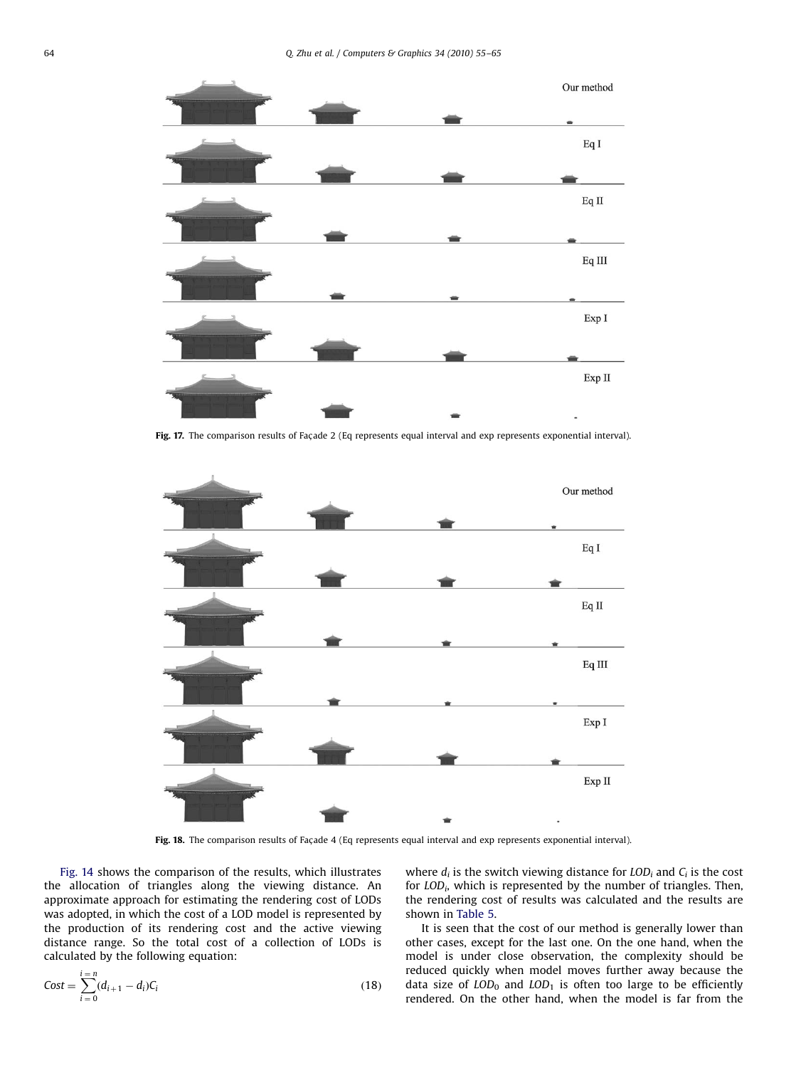

Fig. 17. The comparison results of Façade 2 (Eq represents equal interval and exp represents exponential interval).



Fig. 18. The comparison results of Façade 4 (Eq represents equal interval and exp represents exponential interval).

[Fig. 14](#page-7-0) shows the comparison of the results, which illustrates the allocation of triangles along the viewing distance. An approximate approach for estimating the rendering cost of LODs was adopted, in which the cost of a LOD model is represented by the production of its rendering cost and the active viewing distance range. So the total cost of a collection of LODs is calculated by the following equation:

$$
Cost = \sum_{i=0}^{i=n} (d_{i+1} - d_i)C_i
$$
 (18)

where  $d_i$  is the switch viewing distance for  $LOD_i$  and  $C_i$  is the cost for  $LOD_i$ , which is represented by the number of triangles. Then, the rendering cost of results was calculated and the results are shown in [Table 5.](#page-7-0)

It is seen that the cost of our method is generally lower than other cases, except for the last one. On the one hand, when the model is under close observation, the complexity should be reduced quickly when model moves further away because the data size of  $LOD_0$  and  $LOD_1$  is often too large to be efficiently rendered. On the other hand, when the model is far from the